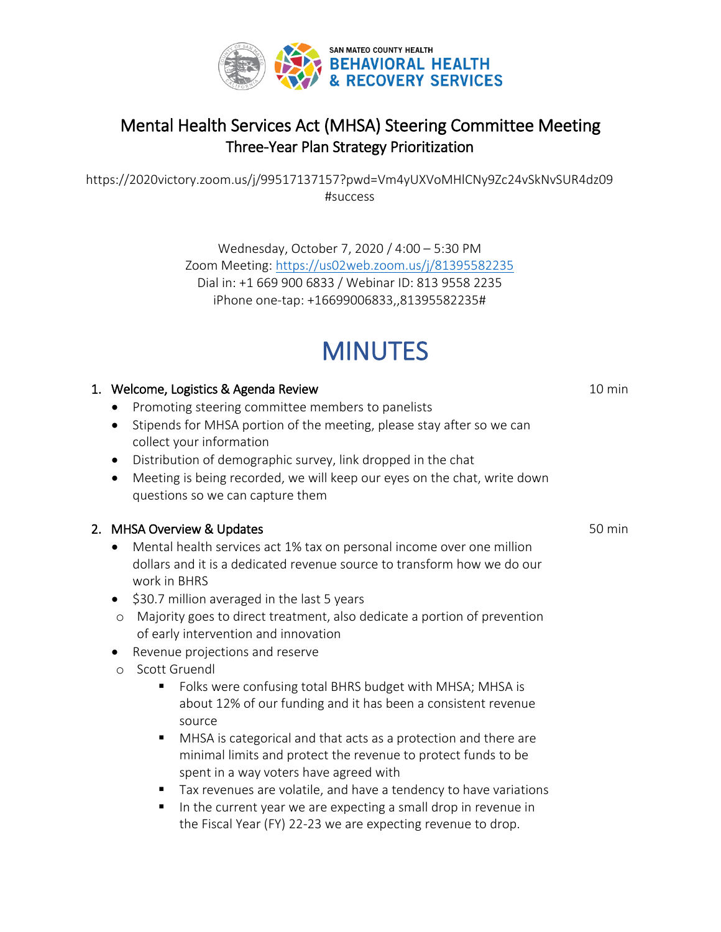

### Mental Health Services Act (MHSA) Steering Committee Meeting Three-Year Plan Strategy Prioritization

https://2020victory.zoom.us/j/99517137157?pwd=Vm4yUXVoMHlCNy9Zc24vSkNvSUR4dz09 #success

> Wednesday, October 7, 2020 / 4:00 – 5:30 PM Zoom Meeting: https://us02web.zoom.us/j/81395582235 Dial in: +1 669 900 6833 / Webinar ID: 813 9558 2235 iPhone one-tap: +16699006833,,81395582235#

# **MINUTES**

#### 1. Welcome, Logistics & Agenda Review

- Promoting steering committee members to panelists
- Stipends for MHSA portion of the meeting, please stay after so we can collect your information
- Distribution of demographic survey, link dropped in the chat
- Meeting is being recorded, we will keep our eyes on the chat, write down questions so we can capture them

#### 2. MHSA Overview & Updates

- Mental health services act 1% tax on personal income over one million dollars and it is a dedicated revenue source to transform how we do our work in BHRS
- \$30.7 million averaged in the last 5 years
- o Majority goes to direct treatment, also dedicate a portion of prevention of early intervention and innovation
- Revenue projections and reserve
- o Scott Gruendl
	- Folks were confusing total BHRS budget with MHSA; MHSA is about 12% of our funding and it has been a consistent revenue source
	- MHSA is categorical and that acts as a protection and there are minimal limits and protect the revenue to protect funds to be spent in a way voters have agreed with
	- Tax revenues are volatile, and have a tendency to have variations
	- In the current year we are expecting a small drop in revenue in the Fiscal Year (FY) 22-23 we are expecting revenue to drop.

50 min

10 min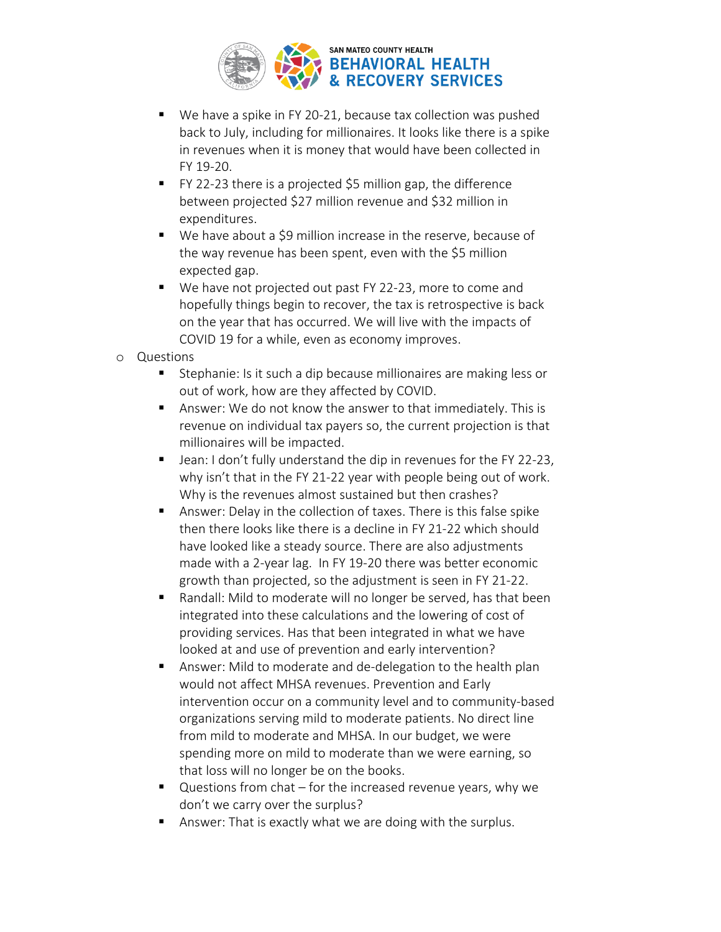

- We have a spike in FY 20-21, because tax collection was pushed back to July, including for millionaires. It looks like there is a spike in revenues when it is money that would have been collected in FY 19-20.
- FY 22-23 there is a projected \$5 million gap, the difference between projected \$27 million revenue and \$32 million in expenditures.
- We have about a \$9 million increase in the reserve, because of the way revenue has been spent, even with the \$5 million expected gap.
- We have not projected out past FY 22-23, more to come and hopefully things begin to recover, the tax is retrospective is back on the year that has occurred. We will live with the impacts of COVID 19 for a while, even as economy improves.
- o Questions
	- Stephanie: Is it such a dip because millionaires are making less or out of work, how are they affected by COVID.
	- Answer: We do not know the answer to that immediately. This is revenue on individual tax payers so, the current projection is that millionaires will be impacted.
	- Jean: I don't fully understand the dip in revenues for the FY 22-23, why isn't that in the FY 21-22 year with people being out of work. Why is the revenues almost sustained but then crashes?
	- Answer: Delay in the collection of taxes. There is this false spike then there looks like there is a decline in FY 21-22 which should have looked like a steady source. There are also adjustments made with a 2-year lag. In FY 19-20 there was better economic growth than projected, so the adjustment is seen in FY 21-22.
	- Randall: Mild to moderate will no longer be served, has that been integrated into these calculations and the lowering of cost of providing services. Has that been integrated in what we have looked at and use of prevention and early intervention?
	- Answer: Mild to moderate and de-delegation to the health plan would not affect MHSA revenues. Prevention and Early intervention occur on a community level and to community-based organizations serving mild to moderate patients. No direct line from mild to moderate and MHSA. In our budget, we were spending more on mild to moderate than we were earning, so that loss will no longer be on the books.
	- **•** Questions from chat for the increased revenue years, why we don't we carry over the surplus?
	- Answer: That is exactly what we are doing with the surplus.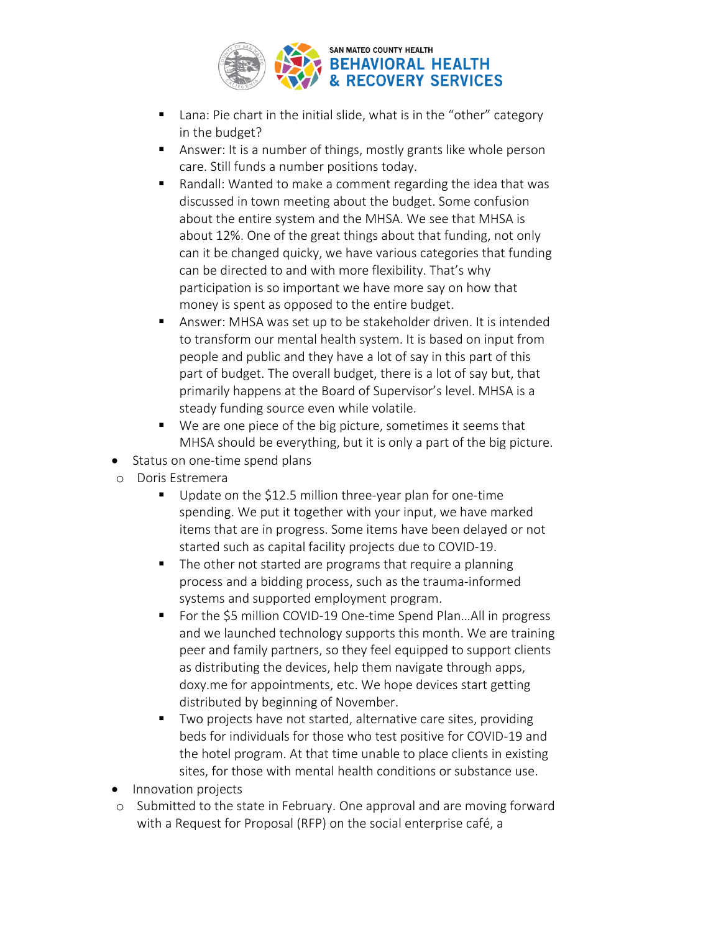

- Lana: Pie chart in the initial slide, what is in the "other" category in the budget?
- Answer: It is a number of things, mostly grants like whole person care. Still funds a number positions today.
- Randall: Wanted to make a comment regarding the idea that was discussed in town meeting about the budget. Some confusion about the entire system and the MHSA. We see that MHSA is about 12%. One of the great things about that funding, not only can it be changed quicky, we have various categories that funding can be directed to and with more flexibility. That's why participation is so important we have more say on how that money is spent as opposed to the entire budget.
- Answer: MHSA was set up to be stakeholder driven. It is intended to transform our mental health system. It is based on input from people and public and they have a lot of say in this part of this part of budget. The overall budget, there is a lot of say but, that primarily happens at the Board of Supervisor's level. MHSA is a steady funding source even while volatile.
- We are one piece of the big picture, sometimes it seems that MHSA should be everything, but it is only a part of the big picture.
- Status on one-time spend plans
- o Doris Estremera
	- Update on the \$12.5 million three-year plan for one-time spending. We put it together with your input, we have marked items that are in progress. Some items have been delayed or not started such as capital facility projects due to COVID-19.
	- The other not started are programs that require a planning process and a bidding process, such as the trauma-informed systems and supported employment program.
	- For the \$5 million COVID-19 One-time Spend Plan...All in progress and we launched technology supports this month. We are training peer and family partners, so they feel equipped to support clients as distributing the devices, help them navigate through apps, doxy.me for appointments, etc. We hope devices start getting distributed by beginning of November.
	- Two projects have not started, alternative care sites, providing beds for individuals for those who test positive for COVID-19 and the hotel program. At that time unable to place clients in existing sites, for those with mental health conditions or substance use.
- Innovation projects
- o Submitted to the state in February. One approval and are moving forward with a Request for Proposal (RFP) on the social enterprise café, a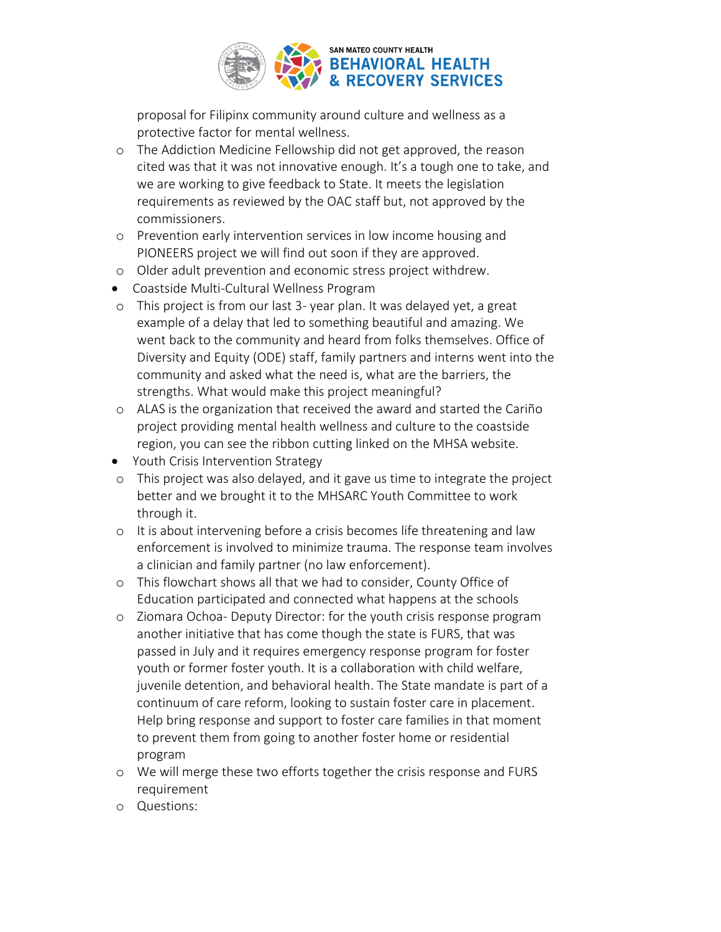

proposal for Filipinx community around culture and wellness as a protective factor for mental wellness.

- o The Addiction Medicine Fellowship did not get approved, the reason cited was that it was not innovative enough. It's a tough one to take, and we are working to give feedback to State. It meets the legislation requirements as reviewed by the OAC staff but, not approved by the commissioners.
- o Prevention early intervention services in low income housing and PIONEERS project we will find out soon if they are approved.
- o Older adult prevention and economic stress project withdrew.
- Coastside Multi-Cultural Wellness Program
- o This project is from our last 3- year plan. It was delayed yet, a great example of a delay that led to something beautiful and amazing. We went back to the community and heard from folks themselves. Office of Diversity and Equity (ODE) staff, family partners and interns went into the community and asked what the need is, what are the barriers, the strengths. What would make this project meaningful?
- o ALAS is the organization that received the award and started the Cariño project providing mental health wellness and culture to the coastside region, you can see the ribbon cutting linked on the MHSA website.
- Youth Crisis Intervention Strategy
- o This project was also delayed, and it gave us time to integrate the project better and we brought it to the MHSARC Youth Committee to work through it.
- o It is about intervening before a crisis becomes life threatening and law enforcement is involved to minimize trauma. The response team involves a clinician and family partner (no law enforcement).
- o This flowchart shows all that we had to consider, County Office of Education participated and connected what happens at the schools
- o Ziomara Ochoa- Deputy Director: for the youth crisis response program another initiative that has come though the state is FURS, that was passed in July and it requires emergency response program for foster youth or former foster youth. It is a collaboration with child welfare, juvenile detention, and behavioral health. The State mandate is part of a continuum of care reform, looking to sustain foster care in placement. Help bring response and support to foster care families in that moment to prevent them from going to another foster home or residential program
- o We will merge these two efforts together the crisis response and FURS requirement
- o Questions: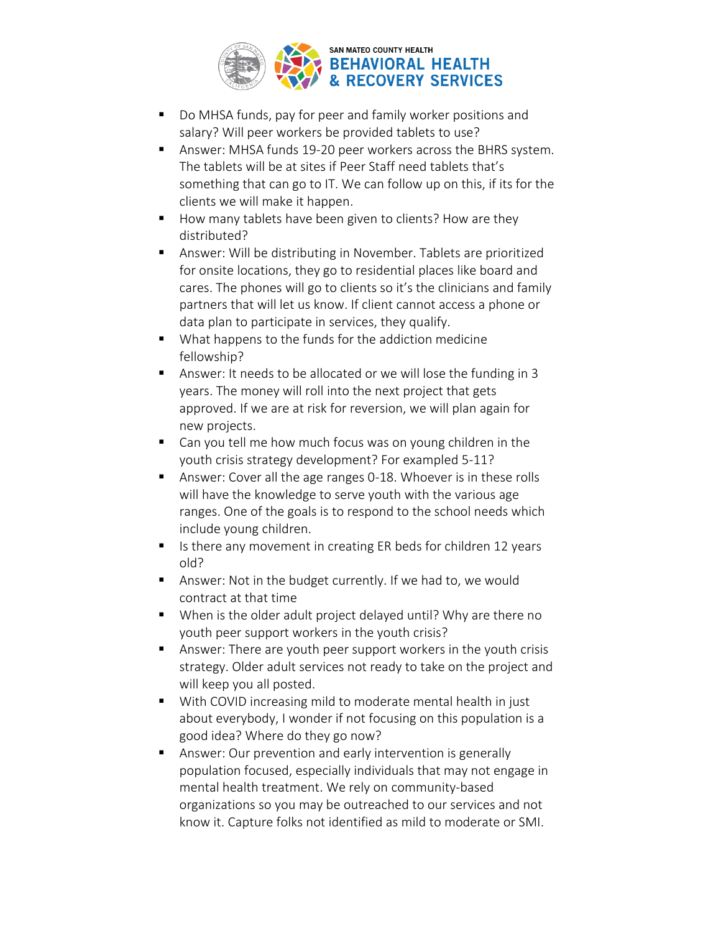

- Do MHSA funds, pay for peer and family worker positions and salary? Will peer workers be provided tablets to use?
- Answer: MHSA funds 19-20 peer workers across the BHRS system. The tablets will be at sites if Peer Staff need tablets that's something that can go to IT. We can follow up on this, if its for the clients we will make it happen.
- How many tablets have been given to clients? How are they distributed?
- Answer: Will be distributing in November. Tablets are prioritized for onsite locations, they go to residential places like board and cares. The phones will go to clients so it's the clinicians and family partners that will let us know. If client cannot access a phone or data plan to participate in services, they qualify.
- What happens to the funds for the addiction medicine fellowship?
- Answer: It needs to be allocated or we will lose the funding in 3 years. The money will roll into the next project that gets approved. If we are at risk for reversion, we will plan again for new projects.
- Can you tell me how much focus was on young children in the youth crisis strategy development? For exampled 5-11?
- Answer: Cover all the age ranges 0-18. Whoever is in these rolls will have the knowledge to serve youth with the various age ranges. One of the goals is to respond to the school needs which include young children.
- Is there any movement in creating ER beds for children 12 years old?
- Answer: Not in the budget currently. If we had to, we would contract at that time
- When is the older adult project delayed until? Why are there no youth peer support workers in the youth crisis?
- Answer: There are youth peer support workers in the youth crisis strategy. Older adult services not ready to take on the project and will keep you all posted.
- With COVID increasing mild to moderate mental health in just about everybody, I wonder if not focusing on this population is a good idea? Where do they go now?
- Answer: Our prevention and early intervention is generally population focused, especially individuals that may not engage in mental health treatment. We rely on community-based organizations so you may be outreached to our services and not know it. Capture folks not identified as mild to moderate or SMI.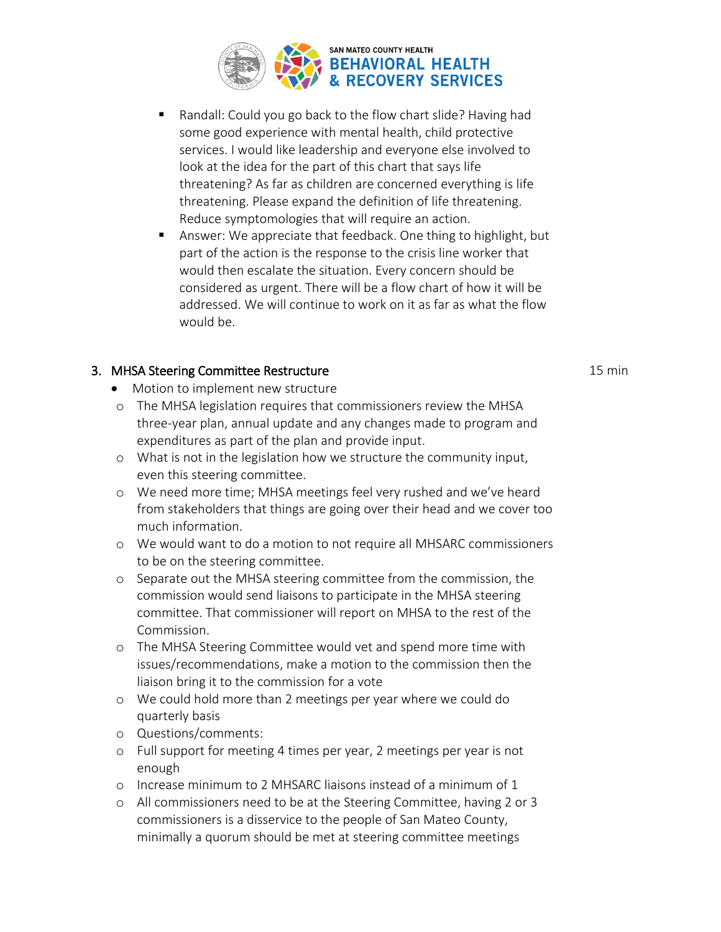

- Randall: Could you go back to the flow chart slide? Having had some good experience with mental health, child protective services. I would like leadership and everyone else involved to look at the idea for the part of this chart that says life threatening? As far as children are concerned everything is life threatening. Please expand the definition of life threatening. Reduce symptomologies that will require an action.
- Answer: We appreciate that feedback. One thing to highlight, but part of the action is the response to the crisis line worker that would then escalate the situation. Every concern should be considered as urgent. There will be a flow chart of how it will be addressed. We will continue to work on it as far as what the flow would be.

#### 3. MHSA Steering Committee Restructure

- Motion to implement new structure
- o The MHSA legislation requires that commissioners review the MHSA three-year plan, annual update and any changes made to program and expenditures as part of the plan and provide input.
- o What is not in the legislation how we structure the community input, even this steering committee.
- o We need more time; MHSA meetings feel very rushed and we've heard from stakeholders that things are going over their head and we cover too much information.
- o We would want to do a motion to not require all MHSARC commissioners to be on the steering committee.
- o Separate out the MHSA steering committee from the commission, the commission would send liaisons to participate in the MHSA steering committee. That commissioner will report on MHSA to the rest of the Commission.
- o The MHSA Steering Committee would vet and spend more time with issues/recommendations, make a motion to the commission then the liaison bring it to the commission for a vote
- o We could hold more than 2 meetings per year where we could do quarterly basis
- o Questions/comments:
- o Full support for meeting 4 times per year, 2 meetings per year is not enough
- o Increase minimum to 2 MHSARC liaisons instead of a minimum of 1
- o All commissioners need to be at the Steering Committee, having 2 or 3 commissioners is a disservice to the people of San Mateo County, minimally a quorum should be met at steering committee meetings

15 min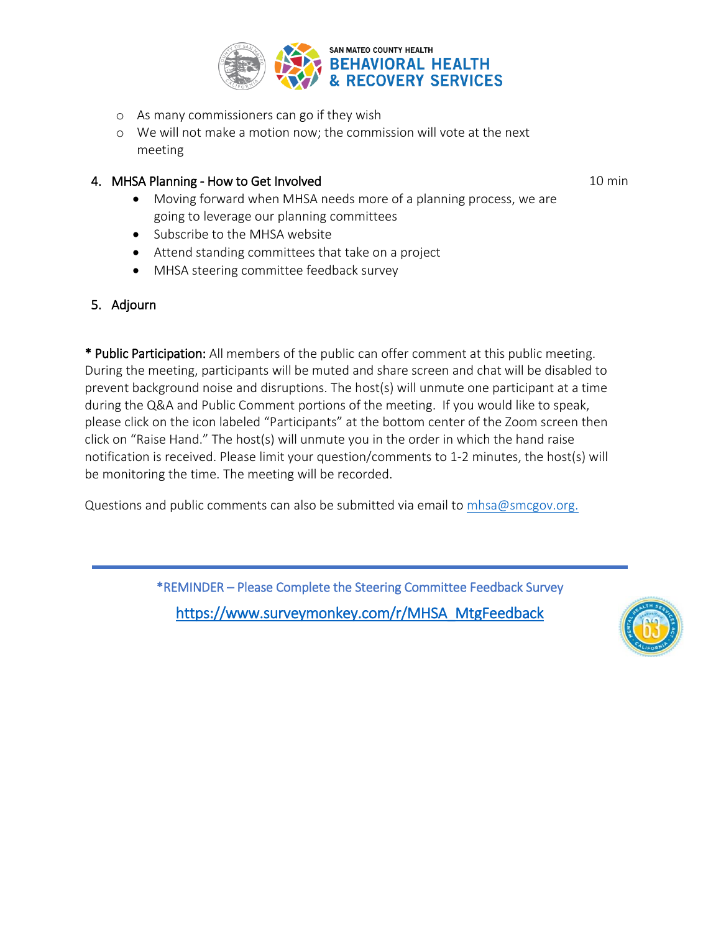

- o As many commissioners can go if they wish
- o We will not make a motion now; the commission will vote at the next meeting

#### 4. MHSA Planning - How to Get Involved

10 min

- Moving forward when MHSA needs more of a planning process, we are going to leverage our planning committees
- Subscribe to the MHSA website
- Attend standing committees that take on a project
- MHSA steering committee feedback survey

#### 5. Adjourn

\* Public Participation: All members of the public can offer comment at this public meeting. During the meeting, participants will be muted and share screen and chat will be disabled to prevent background noise and disruptions. The host(s) will unmute one participant at a time during the Q&A and Public Comment portions of the meeting. If you would like to speak, please click on the icon labeled "Participants" at the bottom center of the Zoom screen then click on "Raise Hand." The host(s) will unmute you in the order in which the hand raise notification is received. Please limit your question/comments to 1-2 minutes, the host(s) will be monitoring the time. The meeting will be recorded.

Questions and public comments can also be submitted via email to [mhsa@smcgov.org.](mailto:mhsa@smcgov.org)

\*REMINDER – Please Complete the Steering Committee Feedback Survey [https://www.surveymonkey.com/r/MHSA\\_MtgFeedback](https://www.surveymonkey.com/r/MHSA_MtgFeedback)